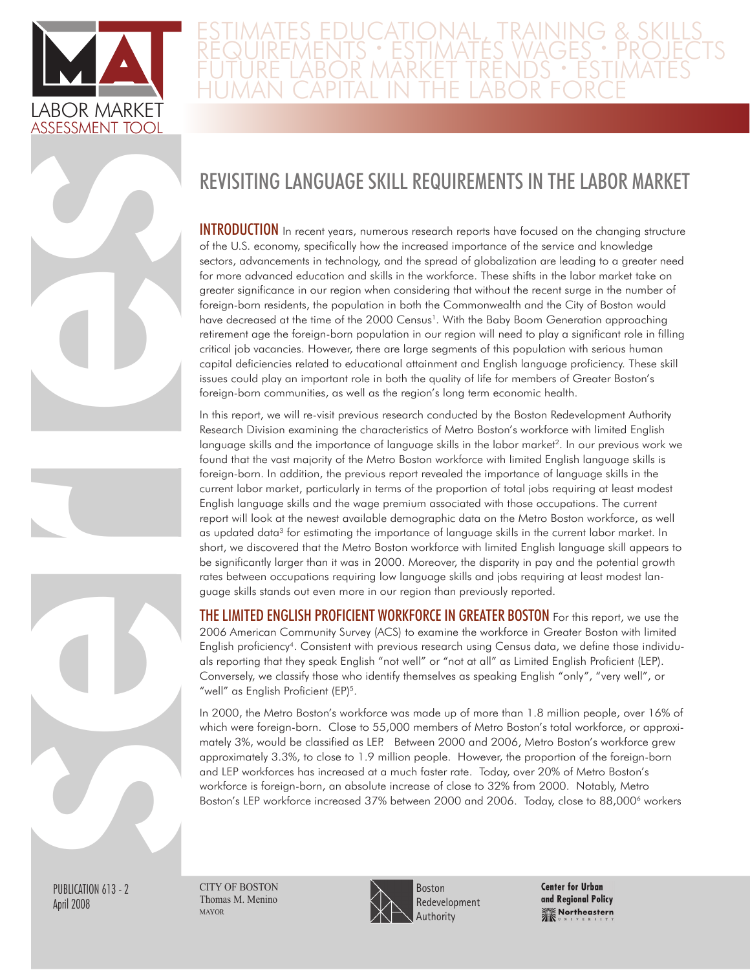

## Estimates Educational, Training & Skills Requirements • Estimates Wages • Projects Future Labor Market TrendS • Estimates Human Capital In The Labor Force

# Revisiting Language Skill Requirements in the Labor Market

**INTRODUCTION** In recent years, numerous research reports have focused on the changing structure of the U.S. economy, specifically how the increased importance of the service and knowledge sectors, advancements in technology, and the spread of globalization are leading to a greater need for more advanced education and skills in the workforce. These shifts in the labor market take on greater significance in our region when considering that without the recent surge in the number of foreign-born residents, the population in both the Commonwealth and the City of Boston would have decreased at the time of the 2000 Census<sup>1</sup>. With the Baby Boom Generation approaching retirement age the foreign-born population in our region will need to play a significant role in filling critical job vacancies. However, there are large segments of this population with serious human capital deficiencies related to educational attainment and English language proficiency. These skill issues could play an important role in both the quality of life for members of Greater Boston's foreign-born communities, as well as the region's long term economic health.

In this report, we will re-visit previous research conducted by the Boston Redevelopment Authority Research Division examining the characteristics of Metro Boston's workforce with limited English language skills and the importance of language skills in the labor market<sup>2</sup>. In our previous work we found that the vast majority of the Metro Boston workforce with limited English language skills is foreign-born. In addition, the previous report revealed the importance of language skills in the current labor market, particularly in terms of the proportion of total jobs requiring at least modest English language skills and the wage premium associated with those occupations. The current report will look at the newest available demographic data on the Metro Boston workforce, as well as updated data<sup>3</sup> for estimating the importance of language skills in the current labor market. In short, we discovered that the Metro Boston workforce with limited English language skill appears to be significantly larger than it was in 2000. Moreover, the disparity in pay and the potential growth rates between occupations requiring low language skills and jobs requiring at least modest language skills stands out even more in our region than previously reported.

The Limited English Proficient Workforce in Greater Boston For this report, we use the 2006 American Community Survey (ACS) to examine the workforce in Greater Boston with limited English proficiency<sup>4</sup>. Consistent with previous research using Census data, we define those individuals reporting that they speak English "not well" or "not at all" as Limited English Proficient (LEP). Conversely, we classify those who identify themselves as speaking English "only", "very well", or "well" as English Proficient (EP)<sup>5</sup>.

In 2000, the Metro Boston's workforce was made up of more than 1.8 million people, over 16% of which were foreign-born. Close to 55,000 members of Metro Boston's total workforce, or approximately 3%, would be classified as LEP. Between 2000 and 2006, Metro Boston's workforce grew approximately 3.3%, to close to 1.9 million people. However, the proportion of the foreign-born and LEP workforces has increased at a much faster rate. Today, over 20% of Metro Boston's workforce is foreign-born, an absolute increase of close to 32% from 2000. Notably, Metro Boston's LEP workforce increased 37% between 2000 and 2006. Today, close to 88,000<sup>6</sup> workers

PUBLICATION 613 - 2 April 2008

series de

CITY OF BOSTON Thomas M. Menino mayor



**Center for Urban** and Regional Policy **We Northeastern**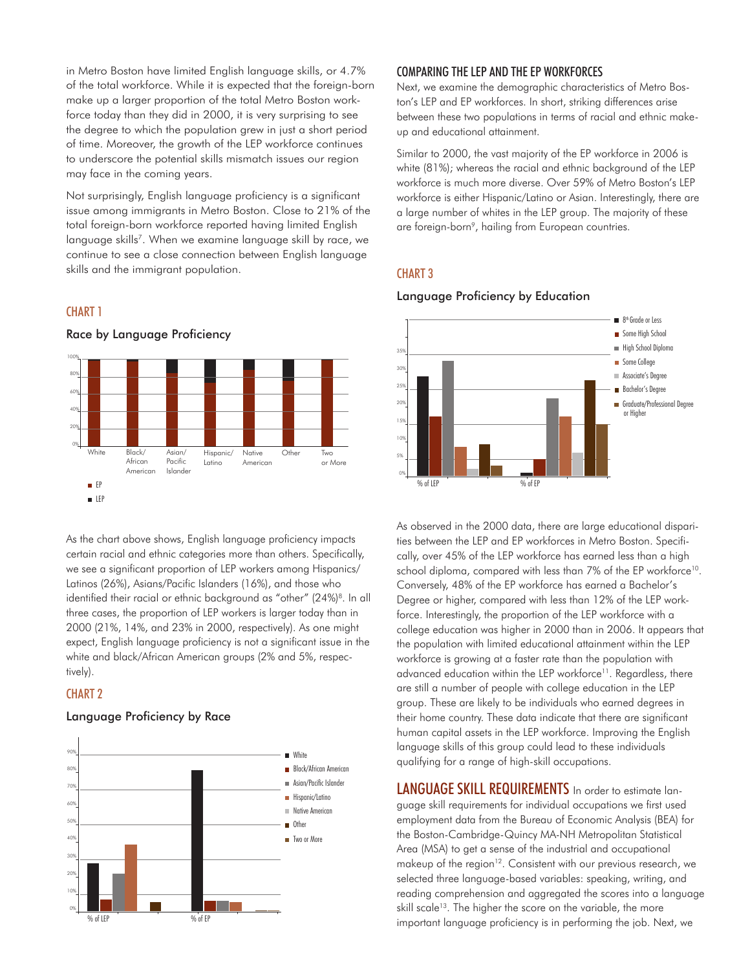in Metro Boston have limited English language skills, or 4.7% of the total workforce. While it is expected that the foreign-born make up a larger proportion of the total Metro Boston workforce today than they did in 2000, it is very surprising to see the degree to which the population grew in just a short period of time. Moreover, the growth of the LEP workforce continues to underscore the potential skills mismatch issues our region may face in the coming years.

Not surprisingly, English language proficiency is a significant issue among immigrants in Metro Boston. Close to 21% of the total foreign-born workforce reported having limited English language skills<sup>7</sup>. When we examine language skill by race, we continue to see a close connection between English language skills and the immigrant population.

#### CHART<sub>1</sub>



Race by Language Proficiency

As the chart above shows, English language proficiency impacts certain racial and ethnic categories more than others. Specifically, we see a significant proportion of LEP workers among Hispanics/ Latinos (26%), Asians/Pacific Islanders (16%), and those who identified their racial or ethnic background as "other" (24%)<sup>8</sup>. In all three cases, the proportion of LEP workers is larger today than in 2000 (21%, 14%, and 23% in 2000, respectively). As one might expect, English language proficiency is not a significant issue in the white and black/African American groups (2% and 5%, respectively).

#### CHART<sub>2</sub>

#### Language Proficiency by Race



#### Comparing the Lep and the Ep Workforces

Next, we examine the demographic characteristics of Metro Boston's LEP and EP workforces. In short, striking differences arise between these two populations in terms of racial and ethnic makeup and educational attainment.

Similar to 2000, the vast majority of the EP workforce in 2006 is white (81%); whereas the racial and ethnic background of the LEP workforce is much more diverse. Over 59% of Metro Boston's LEP workforce is either Hispanic/Latino or Asian. Interestingly, there are a large number of whites in the LEP group. The majority of these are foreign-born<sup>9</sup>, hailing from European countries.

#### chart 3



#### Language Proficiency by Education

As observed in the 2000 data, there are large educational disparities between the LEP and EP workforces in Metro Boston. Specifically, over 45% of the LEP workforce has earned less than a high school diploma, compared with less than 7% of the EP workforce<sup>10</sup>. Conversely, 48% of the EP workforce has earned a Bachelor's Degree or higher, compared with less than 12% of the LEP workforce. Interestingly, the proportion of the LEP workforce with a college education was higher in 2000 than in 2006. It appears that the population with limited educational attainment within the LEP workforce is growing at a faster rate than the population with advanced education within the LEP workforce<sup>11</sup>. Regardless, there are still a number of people with college education in the LEP group. These are likely to be individuals who earned degrees in their home country. These data indicate that there are significant human capital assets in the LEP workforce. Improving the English language skills of this group could lead to these individuals qualifying for a range of high-skill occupations.

LANGUAGE SKILL REQUIREMENTS In order to estimate language skill requirements for individual occupations we first used employment data from the Bureau of Economic Analysis (BEA) for the Boston-Cambridge-Quincy MA-NH Metropolitan Statistical Area (MSA) to get a sense of the industrial and occupational makeup of the region<sup>12</sup>. Consistent with our previous research, we selected three language-based variables: speaking, writing, and reading comprehension and aggregated the scores into a language skill scale<sup>13</sup>. The higher the score on the variable, the more important language proficiency is in performing the job. Next, we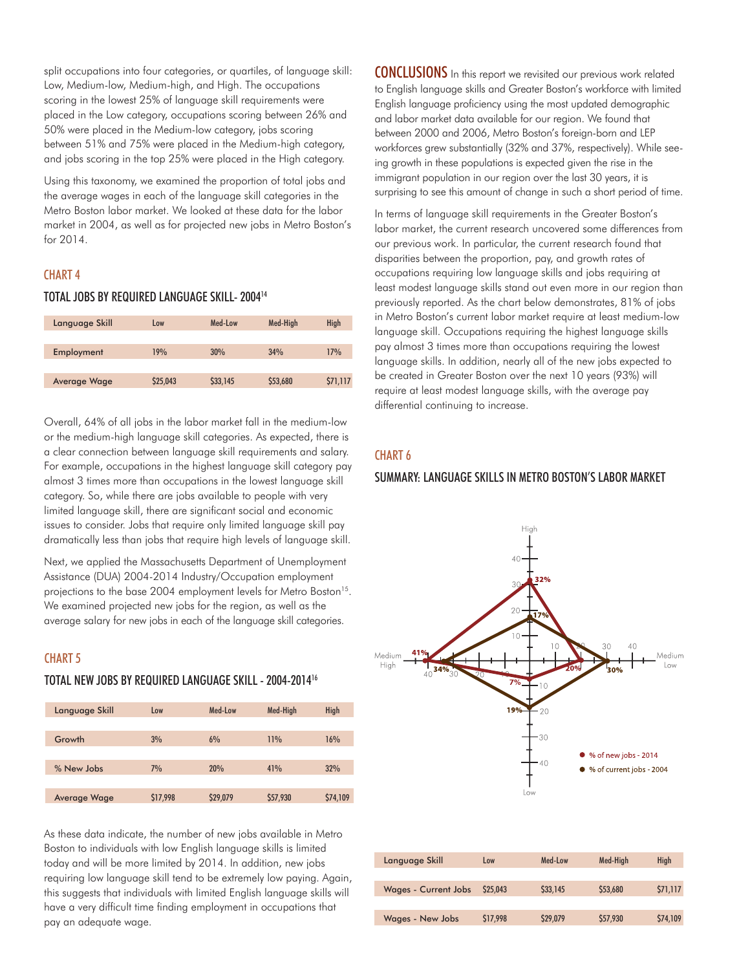split occupations into four categories, or quartiles, of language skill: Low, Medium-low, Medium-high, and High. The occupations scoring in the lowest 25% of language skill requirements were placed in the Low category, occupations scoring between 26% and 50% were placed in the Medium-low category, jobs scoring between 51% and 75% were placed in the Medium-high category, and jobs scoring in the top 25% were placed in the High category.

Using this taxonomy, we examined the proportion of total jobs and the average wages in each of the language skill categories in the Metro Boston labor market. We looked at these data for the labor market in 2004, as well as for projected new jobs in Metro Boston's for 2014.

#### **CHART 4**

#### Total Jobs by Required Language Skill- 200414

| Language Skill      | Low      | Med-Low  | Med-High | <b>High</b> |
|---------------------|----------|----------|----------|-------------|
|                     |          |          |          |             |
| Employment          | 19%      | 30%      | 34%      | 17%         |
|                     |          |          |          |             |
| <b>Average Wage</b> | \$25,043 | \$33,145 | \$53,680 | \$71,117    |
|                     |          |          |          |             |

Overall, 64% of all jobs in the labor market fall in the medium-low or the medium-high language skill categories. As expected, there is a clear connection between language skill requirements and salary. For example, occupations in the highest language skill category pay almost 3 times more than occupations in the lowest language skill category. So, while there are jobs available to people with very limited language skill, there are significant social and economic issues to consider. Jobs that require only limited language skill pay dramatically less than jobs that require high levels of language skill.

Next, we applied the Massachusetts Department of Unemployment Assistance (DUA) 2004-2014 Industry/Occupation employment projections to the base 2004 employment levels for Metro Boston<sup>15</sup>. We examined projected new jobs for the region, as well as the average salary for new jobs in each of the language skill categories.

#### **CHART 5**

### Total new Jobs by Required Language Skill - 2004-201416

| Language Skill | Low      | Med-Low  | Med-High | High     |
|----------------|----------|----------|----------|----------|
|                |          |          |          |          |
| Growth         | 3%       | 6%       | 11%      | 16%      |
|                |          |          |          |          |
| % New Jobs     | 7%       | 20%      | 41%      | 32%      |
|                |          |          |          |          |
| Average Wage   | \$17,998 | \$29,079 | \$57,930 | \$74,109 |
|                |          |          |          |          |

As these data indicate, the number of new jobs available in Metro Boston to individuals with low English language skills is limited today and will be more limited by 2014. In addition, new jobs requiring low language skill tend to be extremely low paying. Again, this suggests that individuals with limited English language skills will have a very difficult time finding employment in occupations that pay an adequate wage.

**CONCLUSIONS** In this report we revisited our previous work related to English language skills and Greater Boston's workforce with limited English language proficiency using the most updated demographic and labor market data available for our region. We found that between 2000 and 2006, Metro Boston's foreign-born and LEP workforces grew substantially (32% and 37%, respectively). While seeing growth in these populations is expected given the rise in the immigrant population in our region over the last 30 years, it is surprising to see this amount of change in such a short period of time.

In terms of language skill requirements in the Greater Boston's labor market, the current research uncovered some differences from our previous work. In particular, the current research found that disparities between the proportion, pay, and growth rates of occupations requiring low language skills and jobs requiring at least modest language skills stand out even more in our region than previously reported. As the chart below demonstrates, 81% of jobs in Metro Boston's current labor market require at least medium-low language skill. Occupations requiring the highest language skills pay almost 3 times more than occupations requiring the lowest language skills. In addition, nearly all of the new jobs expected to be created in Greater Boston over the next 10 years (93%) will require at least modest language skills, with the average pay differential continuing to increase.

#### chart 6

#### Summary: Language skills in Metro Boston's Labor Market



| Language Skill              | Low      | Med-Low  | Med-High | <b>High</b> |
|-----------------------------|----------|----------|----------|-------------|
|                             |          |          |          |             |
| <b>Wages - Current Jobs</b> | \$25,043 | \$33,145 | \$53,680 | \$71,117    |
|                             |          |          |          |             |
| <b>Wages - New Jobs</b>     | \$17,998 | \$29,079 | \$57,930 | \$74,109    |